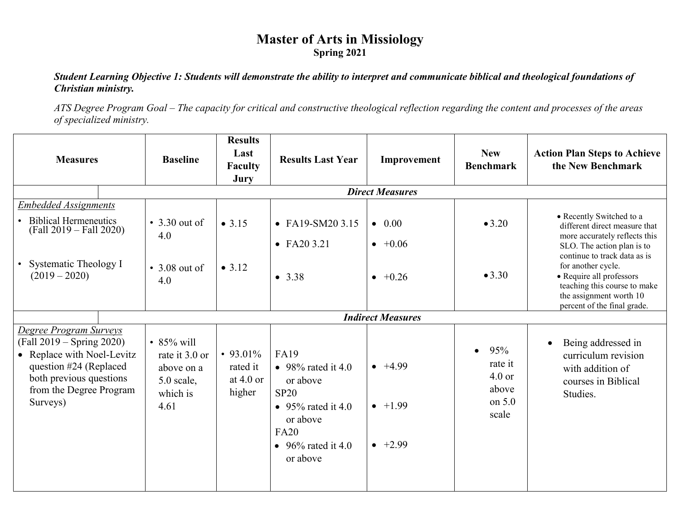## **Master of Arts in Missiology Spring 2021**

*Student Learning Objective 1: Students will demonstrate the ability to interpret and communicate biblical and theological foundations of Christian ministry.*

*ATS Degree Program Goal – The capacity for critical and constructive theological reflection regarding the content and processes of the areas of specialized ministry.*

| <b>Measures</b>                                                                                                                                                                      | <b>Baseline</b>                                                                      | <b>Results</b><br>Last<br><b>Faculty</b><br>Jury | <b>Results Last Year</b>                                                                                                                 | Improvement                                           | <b>New</b><br><b>Benchmark</b>                                        | <b>Action Plan Steps to Achieve</b><br>the New Benchmark                                                                                                                 |
|--------------------------------------------------------------------------------------------------------------------------------------------------------------------------------------|--------------------------------------------------------------------------------------|--------------------------------------------------|------------------------------------------------------------------------------------------------------------------------------------------|-------------------------------------------------------|-----------------------------------------------------------------------|--------------------------------------------------------------------------------------------------------------------------------------------------------------------------|
|                                                                                                                                                                                      |                                                                                      |                                                  |                                                                                                                                          | <b>Direct Measures</b>                                |                                                                       |                                                                                                                                                                          |
| <b>Embedded Assignments</b><br>• Biblical Hermeneutics<br>$(Fall 2019 - Fall 2020)$                                                                                                  | $\cdot$ 3.30 out of<br>4.0                                                           | • 3.15                                           | • FA19-SM20 3.15<br>$\bullet$ FA20 3.21                                                                                                  | $\bullet$ 0.00<br>$\bullet +0.06$                     | •3.20                                                                 | • Recently Switched to a<br>different direct measure that<br>more accurately reflects this<br>SLO. The action plan is to                                                 |
| • Systematic Theology I<br>$(2019 - 2020)$                                                                                                                                           | $\cdot$ 3.08 out of<br>4.0                                                           | • 3.12                                           | • $3.38$                                                                                                                                 | $\bullet$ +0.26                                       | •3.30                                                                 | continue to track data as is<br>for another cycle.<br>• Require all professors<br>teaching this course to make<br>the assignment worth 10<br>percent of the final grade. |
|                                                                                                                                                                                      |                                                                                      |                                                  |                                                                                                                                          | <b>Indirect Measures</b>                              |                                                                       |                                                                                                                                                                          |
| <b>Degree Program Surveys</b><br>(Fall 2019 – Spring 2020)<br>• Replace with Noel-Levitz<br>question #24 (Replaced<br>both previous questions<br>from the Degree Program<br>Surveys) | $\cdot$ 85% will<br>rate it 3.0 or<br>above on a<br>$5.0$ scale,<br>which is<br>4.61 | • 93.01%<br>rated it<br>at 4.0 or<br>higher      | <b>FA19</b><br>• 98% rated it 4.0<br>or above<br>SP20<br>• 95% rated it 4.0<br>or above<br><b>FA20</b><br>• 96% rated it 4.0<br>or above | $\bullet$ +4.99<br>$\bullet$ +1.99<br>$\bullet$ +2.99 | 95%<br>$\bullet$<br>rate it<br>$4.0$ or<br>above<br>on $5.0$<br>scale | Being addressed in<br>$\bullet$<br>curriculum revision<br>with addition of<br>courses in Biblical<br>Studies.                                                            |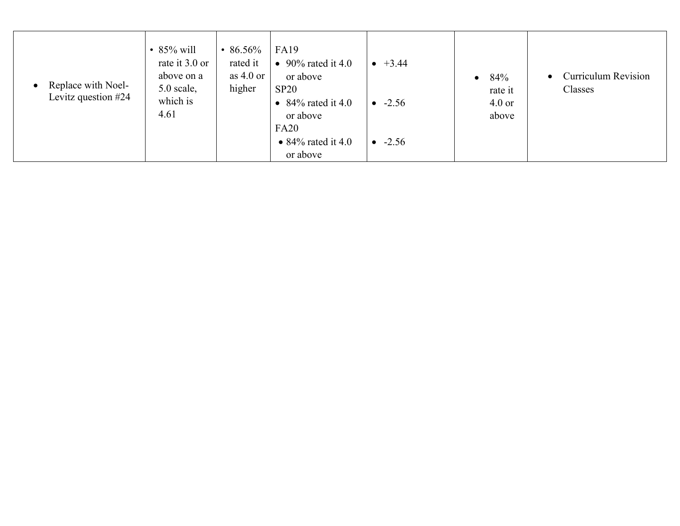| Replace with Noel-<br>$\bullet$<br>Levitz question #24 | • $85\%$ will<br>rate it 3.0 or<br>above on a<br>$5.0$ scale,<br>which is<br>4.61 | • 86.56%<br>rated it<br>as $4.0$ or<br>higher | <b>FA19</b><br>• 90% rated it 4.0<br>or above<br>SP20<br>• $84\%$ rated it 4.0<br>or above<br><b>FA20</b><br>• $84\%$ rated it 4.0<br>or above | $\bullet$ +3.44<br>$-2.56$<br>$-2.56$ | 84%<br>$\bullet$<br>rate it<br>$4.0$ or<br>above | <b>Curriculum Revision</b><br>Classes |
|--------------------------------------------------------|-----------------------------------------------------------------------------------|-----------------------------------------------|------------------------------------------------------------------------------------------------------------------------------------------------|---------------------------------------|--------------------------------------------------|---------------------------------------|
|--------------------------------------------------------|-----------------------------------------------------------------------------------|-----------------------------------------------|------------------------------------------------------------------------------------------------------------------------------------------------|---------------------------------------|--------------------------------------------------|---------------------------------------|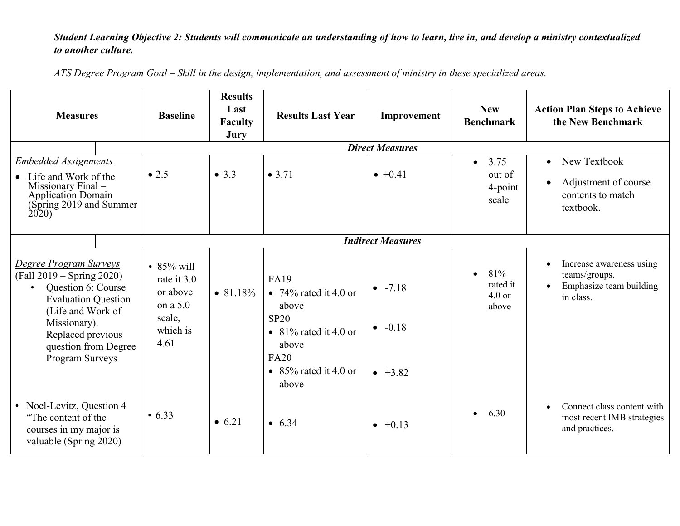## *Student Learning Objective 2: Students will communicate an understanding of how to learn, live in, and develop a ministry contextualized to another culture.*

*ATS Degree Program Goal – Skill in the design, implementation, and assessment of ministry in these specialized areas.*

| <b>Measures</b>                                                                                                                                                                                                | <b>Baseline</b>                                                                    | <b>Results</b><br>Last<br><b>Faculty</b><br>Jury | <b>Results Last Year</b>                                                                                                                       | Improvement                                        | <b>New</b><br><b>Benchmark</b>                  | <b>Action Plan Steps to Achieve</b><br>the New Benchmark                                       |
|----------------------------------------------------------------------------------------------------------------------------------------------------------------------------------------------------------------|------------------------------------------------------------------------------------|--------------------------------------------------|------------------------------------------------------------------------------------------------------------------------------------------------|----------------------------------------------------|-------------------------------------------------|------------------------------------------------------------------------------------------------|
|                                                                                                                                                                                                                |                                                                                    |                                                  |                                                                                                                                                | <b>Direct Measures</b>                             |                                                 |                                                                                                |
| <b>Embedded Assignments</b><br>• Life and Work of the<br>Missionary Final -<br><b>Application Domain</b><br>(Spring 2019 and Summer<br>2020                                                                    | $\bullet$ 2.5                                                                      | • $3.3$                                          | • 3.71                                                                                                                                         | $\bullet +0.41$                                    | 3.75<br>$\bullet$<br>out of<br>4-point<br>scale | New Textbook<br>$\bullet$<br>Adjustment of course<br>contents to match<br>textbook.            |
|                                                                                                                                                                                                                |                                                                                    |                                                  |                                                                                                                                                | <b>Indirect Measures</b>                           |                                                 |                                                                                                |
| Degree Program Surveys<br>$(Fall 2019 - Spring 2020)$<br>Question 6: Course<br><b>Evaluation Question</b><br>(Life and Work of<br>Missionary).<br>Replaced previous<br>question from Degree<br>Program Surveys | • $85\%$ will<br>rate it 3.0<br>or above<br>on a 5.0<br>scale,<br>which is<br>4.61 | • 81.18%                                         | <b>FA19</b><br>• 74% rated it 4.0 or<br>above<br>SP20<br>• $81\%$ rated it 4.0 or<br>above<br><b>FA20</b><br>• $85\%$ rated it 4.0 or<br>above | $-7.18$<br>$-0.18$<br>$\bullet$<br>$\bullet$ +3.82 | 81%<br>rated it<br>$4.0$ or<br>above            | Increase awareness using<br>teams/groups.<br>Emphasize team building<br>$\bullet$<br>in class. |
| • Noel-Levitz, Question 4<br>"The content of the<br>courses in my major is<br>valuable (Spring 2020)                                                                                                           | $\cdot 6.33$                                                                       | • $6.21$                                         | • 6.34                                                                                                                                         | $\bullet +0.13$                                    | 6.30                                            | Connect class content with<br>most recent IMB strategies<br>and practices.                     |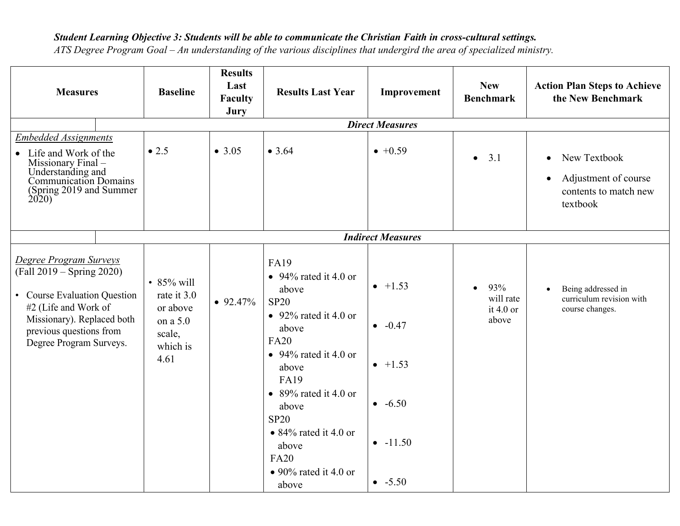## *Student Learning Objective 3: Students will be able to communicate the Christian Faith in cross-cultural settings.*

*ATS Degree Program Goal – An understanding of the various disciplines that undergird the area of specialized ministry.*

| <b>Measures</b>                                                                                                                                                                                 | <b>Baseline</b>                                                                       | <b>Results</b><br>Last<br><b>Faculty</b><br>Jury | <b>Results Last Year</b>                                                                                                                                                                                                                                                                                                      | Improvement                                                             | <b>New</b><br><b>Benchmark</b>                        | <b>Action Plan Steps to Achieve</b><br>the New Benchmark                                            |
|-------------------------------------------------------------------------------------------------------------------------------------------------------------------------------------------------|---------------------------------------------------------------------------------------|--------------------------------------------------|-------------------------------------------------------------------------------------------------------------------------------------------------------------------------------------------------------------------------------------------------------------------------------------------------------------------------------|-------------------------------------------------------------------------|-------------------------------------------------------|-----------------------------------------------------------------------------------------------------|
|                                                                                                                                                                                                 |                                                                                       |                                                  |                                                                                                                                                                                                                                                                                                                               | <b>Direct Measures</b>                                                  |                                                       |                                                                                                     |
| <b>Embedded Assignments</b><br>• Life and Work of the<br>Missionary Final-<br>Understanding and<br>Communication Domains<br>(Spring 2019 and Summer<br>2020                                     | $\bullet$ 2.5                                                                         | • $3.05$                                         | • 3.64                                                                                                                                                                                                                                                                                                                        | $\bullet +0.59$                                                         | 3.1<br>$\bullet$                                      | New Textbook<br>$\bullet$<br>Adjustment of course<br>$\bullet$<br>contents to match new<br>textbook |
|                                                                                                                                                                                                 |                                                                                       |                                                  |                                                                                                                                                                                                                                                                                                                               | <b>Indirect Measures</b>                                                |                                                       |                                                                                                     |
| Degree Program Surveys<br>(Fall 2019 – Spring 2020)<br>• Course Evaluation Question<br>#2 (Life and Work of<br>Missionary). Replaced both<br>previous questions from<br>Degree Program Surveys. | $\cdot$ 85% will<br>rate it 3.0<br>or above<br>on a 5.0<br>scale,<br>which is<br>4.61 | $\bullet$ 92.47%                                 | <b>FA19</b><br>$\bullet$ 94% rated it 4.0 or<br>above<br><b>SP20</b><br>• 92% rated it 4.0 or<br>above<br><b>FA20</b><br>$\bullet$ 94% rated it 4.0 or<br>above<br><b>FA19</b><br>• 89% rated it 4.0 or<br>above<br><b>SP20</b><br>• $84\%$ rated it 4.0 or<br>above<br><b>FA20</b><br>$\bullet$ 90% rated it 4.0 or<br>above | $-1.53$<br>$-0.47$<br>$\bullet$ +1.53<br>$-6.50$<br>$-11.50$<br>$-5.50$ | 93%<br>$\bullet$<br>will rate<br>it $4.0$ or<br>above | Being addressed in<br>curriculum revision with<br>course changes.                                   |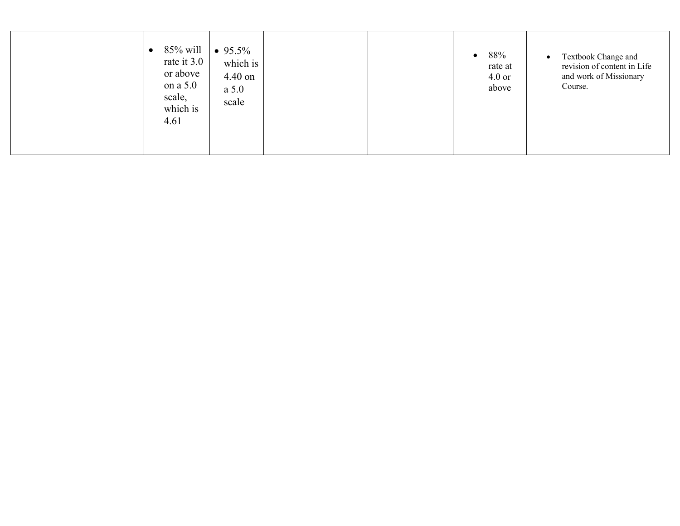| 85% will<br>rate it 3.0<br>or above<br>on a 5.0<br>scale,<br>which is<br>4.61 | $\bullet$ 95.5%<br>which is<br>4.40 on<br>a 5.0<br>scale | 88%<br>$\bullet$<br>rate at<br>$4.0$ or<br>above | Textbook Change and<br>$\bullet$<br>revision of content in Life<br>and work of Missionary<br>Course. |
|-------------------------------------------------------------------------------|----------------------------------------------------------|--------------------------------------------------|------------------------------------------------------------------------------------------------------|
|-------------------------------------------------------------------------------|----------------------------------------------------------|--------------------------------------------------|------------------------------------------------------------------------------------------------------|